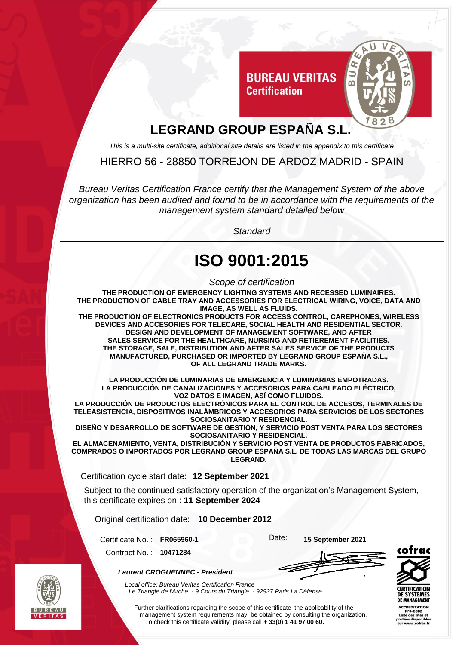

## **LEGRAND GROUP ESPAÑA S.L.**

*This is a multi-site certificate, additional site details are listed in the appendix to this certificate*

HIERRO 56 - 28850 TORREJON DE ARDOZ MADRID - SPAIN

*Bureau Veritas Certification France certify that the Management System of the above organization has been audited and found to be in accordance with the requirements of the management system standard detailed below*

*Standard*

## **ISO 9001:2015**

*Scope of certification*

**THE PRODUCTION OF EMERGENCY LIGHTING SYSTEMS AND RECESSED LUMINAIRES. THE PRODUCTION OF CABLE TRAY AND ACCESSORIES FOR ELECTRICAL WIRING, VOICE, DATA AND IMAGE, AS WELL AS FLUIDS.**

**THE PRODUCTION OF ELECTRONICS PRODUCTS FOR ACCESS CONTROL, CAREPHONES, WIRELESS DEVICES AND ACCESORIES FOR TELECARE, SOCIAL HEALTH AND RESIDENTIAL SECTOR. DESIGN AND DEVELOPMENT OF MANAGEMENT SOFTWARE, AND AFTER SALES SERVICE FOR THE HEALTHCARE, NURSING AND RETIEREMENT FACILITIES. THE STORAGE, SALE, DISTRIBUTION AND AFTER SALES SERVICE OF THE PRODUCTS MANUFACTURED, PURCHASED OR IMPORTED BY LEGRAND GROUP ESPAÑA S.L., OF ALL LEGRAND TRADE MARKS.**

**LA PRODUCCIÓN DE LUMINARIAS DE EMERGENCIA Y LUMINARIAS EMPOTRADAS. LA PRODUCCIÓN DE CANALIZACIONES Y ACCESORIOS PARA CABLEADO ELÉCTRICO, VOZ DATOS E IMAGEN, ASÍ COMO FLUIDOS.**

**LA PRODUCCIÓN DE PRODUCTOS ELECTRÓNICOS PARA EL CONTROL DE ACCESOS, TERMINALES DE TELEASISTENCIA, DISPOSITIVOS INALÁMBRICOS Y ACCESORIOS PARA SERVICIOS DE LOS SECTORES SOCIOSANITARIO Y RESIDENCIAL.**

**DISEÑO Y DESARROLLO DE SOFTWARE DE GESTIÓN, Y SERVICIO POST VENTA PARA LOS SECTORES SOCIOSANITARIO Y RESIDENCIAL.**

**EL ALMACENAMIENTO, VENTA, DISTRIBUCIÓN Y SERVICIO POST VENTA DE PRODUCTOS FABRICADOS, COMPRADOS O IMPORTADOS POR LEGRAND GROUP ESPAÑA S.L. DE TODAS LAS MARCAS DEL GRUPO LEGRAND.**

Certification cycle start date: **12 September 2021**

Subject to the continued satisfactory operation of the organization's Management System, this certificate expires on : **11 September 2024**

Original certification date: **10 December 2012**

Certificate No. : **FR065960-1** Date: **15 September 2021**

Contract No. : **10471284**





*Laurent CROGUENNEC - President*

*Local office: Bureau Veritas Certification France*



**ACCREDITATION** 

Further clarifications regarding the scope of this certificate the applicability of the management system requirements may be obtained by consulting the organization. To check this certificate validity, please call **+ 33(0) 1 41 97 00 60.**

*Le Triangle de l'Arche - 9 Cours du Triangle - 92937 Paris La Défense*